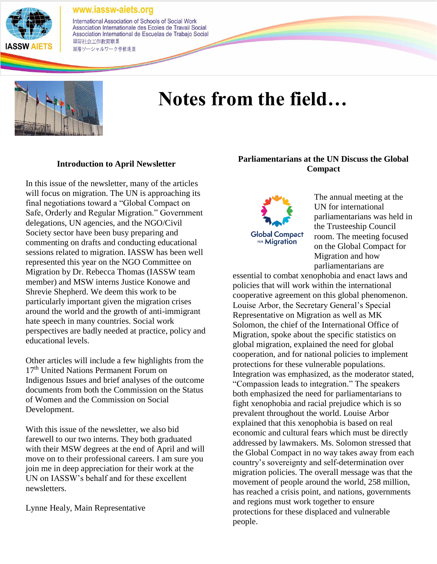

International Association of Schools of Social Work Association Internationale des Ecoles de Travail Social Association International de Escuelas de Trabajo Social 国际社会工作教育联盟 国際ソーシャルワーク学校連盟



# **Notes from the field…**

#### **Introduction to April Newsletter**

In this issue of the newsletter, many of the articles will focus on migration. The UN is approaching its final negotiations toward a "Global Compact on Safe, Orderly and Regular Migration." Government delegations, UN agencies, and the NGO/Civil Society sector have been busy preparing and commenting on drafts and conducting educational sessions related to migration. IASSW has been well represented this year on the NGO Committee on Migration by Dr. Rebecca Thomas (IASSW team member) and MSW interns Justice Konowe and Shrevie Shepherd. We deem this work to be particularly important given the migration crises around the world and the growth of anti-immigrant hate speech in many countries. Social work perspectives are badly needed at practice, policy and educational levels.

Other articles will include a few highlights from the 17<sup>th</sup> United Nations Permanent Forum on Indigenous Issues and brief analyses of the outcome documents from both the Commission on the Status of Women and the Commission on Social Development.

With this issue of the newsletter, we also bid farewell to our two interns. They both graduated with their MSW degrees at the end of April and will move on to their professional careers. I am sure you join me in deep appreciation for their work at the UN on IASSW's behalf and for these excellent newsletters.

Lynne Healy, Main Representative

# **Parliamentarians at the UN Discuss the Global Compact**



The annual meeting at the UN for international parliamentarians was held in the Trusteeship Council room. The meeting focused on the Global Compact for Migration and how parliamentarians are

essential to combat xenophobia and enact laws and policies that will work within the international cooperative agreement on this global phenomenon. Louise Arbor, the Secretary General's Special Representative on Migration as well as MK Solomon, the chief of the International Office of Migration, spoke about the specific statistics on global migration, explained the need for global cooperation, and for national policies to implement protections for these vulnerable populations. Integration was emphasized, as the moderator stated, "Compassion leads to integration." The speakers both emphasized the need for parliamentarians to fight xenophobia and racial prejudice which is so prevalent throughout the world. Louise Arbor explained that this xenophobia is based on real economic and cultural fears which must be directly addressed by lawmakers. Ms. Solomon stressed that the Global Compact in no way takes away from each country's sovereignty and self-determination over migration policies. The overall message was that the movement of people around the world, 258 million, has reached a crisis point, and nations, governments and regions must work together to ensure protections for these displaced and vulnerable people.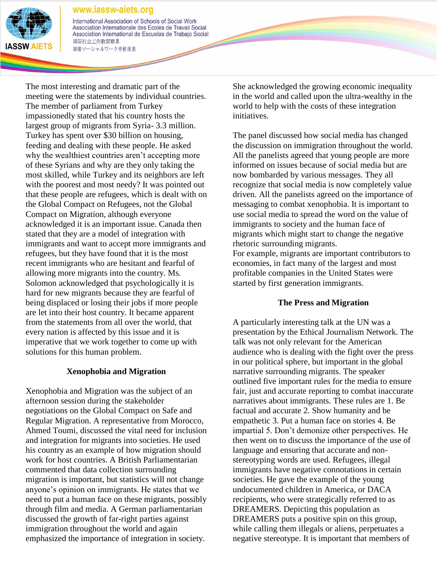

International Association of Schools of Social Work Association Internationale des Ecoles de Travail Social Association International de Escuelas de Trabajo Social 国际社会工作教育联盟 国際ソーシャルワーク学校連盟

The most interesting and dramatic part of the meeting were the statements by individual countries. The member of parliament from Turkey impassionedly stated that his country hosts the largest group of migrants from Syria- 3.3 million. Turkey has spent over \$30 billion on housing, feeding and dealing with these people. He asked why the wealthiest countries aren't accepting more of these Syrians and why are they only taking the most skilled, while Turkey and its neighbors are left with the poorest and most needy? It was pointed out that these people are refugees, which is dealt with on the Global Compact on Refugees, not the Global Compact on Migration, although everyone acknowledged it is an important issue. Canada then stated that they are a model of integration with immigrants and want to accept more immigrants and refugees, but they have found that it is the most recent immigrants who are hesitant and fearful of allowing more migrants into the country. Ms. Solomon acknowledged that psychologically it is hard for new migrants because they are fearful of being displaced or losing their jobs if more people are let into their host country. It became apparent from the statements from all over the world, that every nation is affected by this issue and it is imperative that we work together to come up with solutions for this human problem.

# **Xenophobia and Migration**

Xenophobia and Migration was the subject of an afternoon session during the stakeholder negotiations on the Global Compact on Safe and Regular Migration. A representative from Morocco, Ahmed Toumi, discussed the vital need for inclusion and integration for migrants into societies. He used his country as an example of how migration should work for host countries. A British Parliamentarian commented that data collection surrounding migration is important, but statistics will not change anyone's opinion on immigrants. He states that we need to put a human face on these migrants, possibly through film and media. A German parliamentarian discussed the growth of far-right parties against immigration throughout the world and again emphasized the importance of integration in society.

She acknowledged the growing economic inequality in the world and called upon the ultra-wealthy in the world to help with the costs of these integration initiatives.

The panel discussed how social media has changed the discussion on immigration throughout the world. All the panelists agreed that young people are more informed on issues because of social media but are now bombarded by various messages. They all recognize that social media is now completely value driven. All the panelists agreed on the importance of messaging to combat xenophobia. It is important to use social media to spread the word on the value of immigrants to society and the human face of migrants which might start to change the negative rhetoric surrounding migrants.

For example, migrants are important contributors to economies, in fact many of the largest and most profitable companies in the United States were started by first generation immigrants.

## **The Press and Migration**

A particularly interesting talk at the UN was a presentation by the Ethical Journalism Network. The talk was not only relevant for the American audience who is dealing with the fight over the press in our political sphere, but important in the global narrative surrounding migrants. The speaker outlined five important rules for the media to ensure fair, just and accurate reporting to combat inaccurate narratives about immigrants. These rules are 1. Be factual and accurate 2. Show humanity and be empathetic 3. Put a human face on stories 4. Be impartial 5. Don't demonize other perspectives. He then went on to discuss the importance of the use of language and ensuring that accurate and nonstereotyping words are used. Refugees, illegal immigrants have negative connotations in certain societies. He gave the example of the young undocumented children in America, or DACA recipients, who were strategically referred to as DREAMERS. Depicting this population as DREAMERS puts a positive spin on this group, while calling them illegals or aliens, perpetuates a negative stereotype. It is important that members of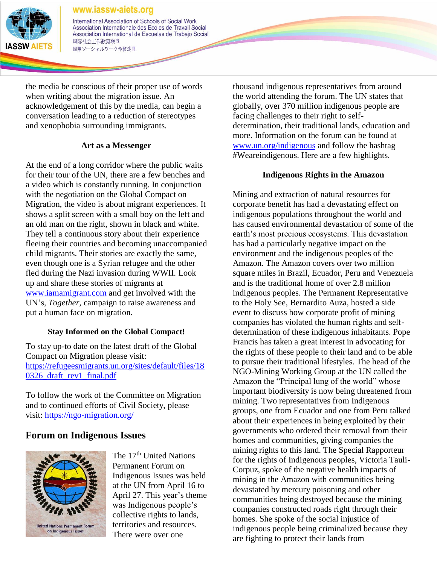

International Association of Schools of Social Work Association Internationale des Ecoles de Travail Social Association International de Escuelas de Trabajo Social 国际社会工作教育联盟 国際ソーシャルワーク学校連盟

the media be conscious of their proper use of words when writing about the migration issue. An acknowledgement of this by the media, can begin a conversation leading to a reduction of stereotypes and xenophobia surrounding immigrants.

## **Art as a Messenger**

At the end of a long corridor where the public waits for their tour of the UN, there are a few benches and a video which is constantly running. In conjunction with the negotiation on the Global Compact on Migration, the video is about migrant experiences. It shows a split screen with a small boy on the left and an old man on the right, shown in black and white. They tell a continuous story about their experience fleeing their countries and becoming unaccompanied child migrants. Their stories are exactly the same, even though one is a Syrian refugee and the other fled during the Nazi invasion during WWII. Look up and share these stories of migrants at [www.iamamigrant.com](http://www.iamamigrant.com/) and get involved with the UN's, *Together,* campaign to raise awareness and put a human face on migration.

# **Stay Informed on the Global Compact!**

To stay up-to date on the latest draft of the Global Compact on Migration please visit: [https://refugeesmigrants.un.org/sites/default/files/18](https://refugeesmigrants.un.org/sites/default/files/180326_draft_rev1_final.pdf) [0326\\_draft\\_rev1\\_final.pdf](https://refugeesmigrants.un.org/sites/default/files/180326_draft_rev1_final.pdf)

To follow the work of the Committee on Migration and to continued efforts of Civil Society, please visit:<https://ngo-migration.org/>

# **Forum on Indigenous Issues**



The 17<sup>th</sup> United Nations Permanent Forum on Indigenous Issues was held at the UN from April 16 to April 27. This year's theme was Indigenous people's collective rights to lands, territories and resources. There were over one

thousand indigenous representatives from around the world attending the forum. The UN states that globally, over 370 million indigenous people are facing challenges to their right to selfdetermination, their traditional lands, education and more. Information on the forum can be found at [www.un.org/indigenous](http://www.un.org/indigenous) and follow the hashtag #Weareindigenous. Here are a few highlights.

# **Indigenous Rights in the Amazon**

Mining and extraction of natural resources for corporate benefit has had a devastating effect on indigenous populations throughout the world and has caused environmental devastation of some of the earth's most precious ecosystems. This devastation has had a particularly negative impact on the environment and the indigenous peoples of the Amazon. The Amazon covers over two million square miles in Brazil, Ecuador, Peru and Venezuela and is the traditional home of over 2.8 million indigenous peoples. The Permanent Representative to the Holy See, Bernardito Auza, hosted a side event to discuss how corporate profit of mining companies has violated the human rights and selfdetermination of these indigenous inhabitants. Pope Francis has taken a great interest in advocating for the rights of these people to their land and to be able to pursue their traditional lifestyles. The head of the NGO-Mining Working Group at the UN called the Amazon the "Principal lung of the world" whose important biodiversity is now being threatened from mining. Two representatives from Indigenous groups, one from Ecuador and one from Peru talked about their experiences in being exploited by their governments who ordered their removal from their homes and communities, giving companies the mining rights to this land. The Special Rapporteur for the rights of Indigenous peoples, Victoria Tauli-Corpuz, spoke of the negative health impacts of mining in the Amazon with communities being devastated by mercury poisoning and other communities being destroyed because the mining companies constructed roads right through their homes. She spoke of the social injustice of indigenous people being criminalized because they are fighting to protect their lands from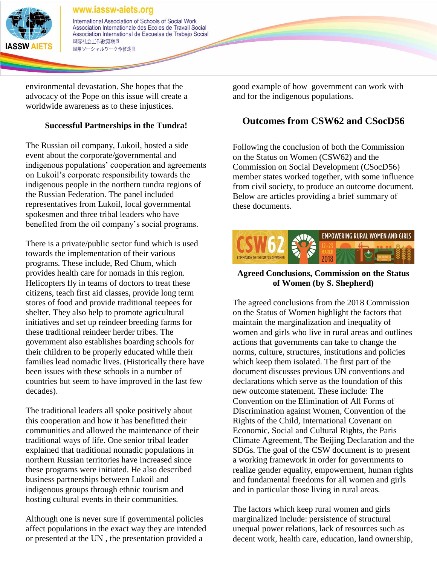

International Association of Schools of Social Work Association Internationale des Ecoles de Travail Social Association International de Escuelas de Trabajo Social 国际社会工作教育联盟 国際ソーシャルワーク学校連盟

environmental devastation. She hopes that the advocacy of the Pope on this issue will create a worldwide awareness as to these injustices.

# **Successful Partnerships in the Tundra!**

The Russian oil company, Lukoil, hosted a side event about the corporate/governmental and indigenous populations' cooperation and agreements on Lukoil's corporate responsibility towards the indigenous people in the northern tundra regions of the Russian Federation. The panel included representatives from Lukoil, local governmental spokesmen and three tribal leaders who have benefited from the oil company's social programs.

There is a private/public sector fund which is used towards the implementation of their various programs. These include, Red Chum, which provides health care for nomads in this region. Helicopters fly in teams of doctors to treat these citizens, teach first aid classes, provide long term stores of food and provide traditional teepees for shelter. They also help to promote agricultural initiatives and set up reindeer breeding farms for these traditional reindeer herder tribes. The government also establishes boarding schools for their children to be properly educated while their families lead nomadic lives. (Historically there have been issues with these schools in a number of countries but seem to have improved in the last few decades).

The traditional leaders all spoke positively about this cooperation and how it has benefitted their communities and allowed the maintenance of their traditional ways of life. One senior tribal leader explained that traditional nomadic populations in northern Russian territories have increased since these programs were initiated. He also described business partnerships between Lukoil and indigenous groups through ethnic tourism and hosting cultural events in their communities.

Although one is never sure if governmental policies affect populations in the exact way they are intended or presented at the UN , the presentation provided a

good example of how government can work with and for the indigenous populations.

# **Outcomes from CSW62 and CSocD56**

Following the conclusion of both the Commission on the Status on Women (CSW62) and the Commission on Social Development (CSocD56) member states worked together, with some influence from civil society, to produce an outcome document. Below are articles providing a brief summary of these documents.



# **Agreed Conclusions, Commission on the Status of Women (by S. Shepherd)**

The agreed conclusions from the 2018 Commission on the Status of Women highlight the factors that maintain the marginalization and inequality of women and girls who live in rural areas and outlines actions that governments can take to change the norms, culture, structures, institutions and policies which keep them isolated. The first part of the document discusses previous UN conventions and declarations which serve as the foundation of this new outcome statement. These include: The Convention on the Elimination of All Forms of Discrimination against Women, Convention of the Rights of the Child, International Covenant on Economic, Social and Cultural Rights, the Paris Climate Agreement, The Beijing Declaration and the SDGs. The goal of the CSW document is to present a working framework in order for governments to realize gender equality, empowerment, human rights and fundamental freedoms for all women and girls and in particular those living in rural areas.

The factors which keep rural women and girls marginalized include: persistence of structural unequal power relations, lack of resources such as decent work, health care, education, land ownership,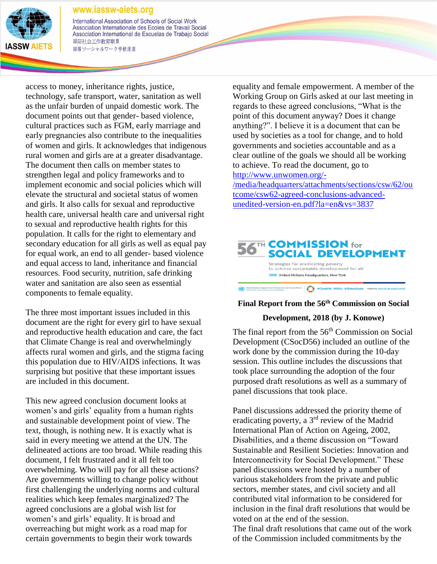

International Association of Schools of Social Work Association Internationale des Ecoles de Travail Social Association International de Escuelas de Trabajo Social 国际社会工作教育联盟 国際ソーシャルワーク学校連盟

access to money, inheritance rights, justice, technology, safe transport, water, sanitation as well as the unfair burden of unpaid domestic work. The document points out that gender- based violence, cultural practices such as FGM, early marriage and early pregnancies also contribute to the inequalities of women and girls. It acknowledges that indigenous rural women and girls are at a greater disadvantage. The document then calls on member states to strengthen legal and policy frameworks and to implement economic and social policies which will elevate the structural and societal status of women and girls. It also calls for sexual and reproductive health care, universal health care and universal right to sexual and reproductive health rights for this population. It calls for the right to elementary and secondary education for all girls as well as equal pay for equal work, an end to all gender- based violence and equal access to land, inheritance and financial resources. Food security, nutrition, safe drinking water and sanitation are also seen as essential components to female equality.

The three most important issues included in this document are the right for every girl to have sexual and reproductive health education and care, the fact that Climate Change is real and overwhelmingly affects rural women and girls, and the stigma facing this population due to HIV/AIDS infections. It was surprising but positive that these important issues are included in this document.

This new agreed conclusion document looks at women's and girls' equality from a human rights and sustainable development point of view. The text, though, is nothing new. It is exactly what is said in every meeting we attend at the UN. The delineated actions are too broad. While reading this document, I felt frustrated and it all felt too overwhelming. Who will pay for all these actions? Are governments willing to change policy without first challenging the underlying norms and cultural realities which keep females marginalized? The agreed conclusions are a global wish list for women's and girls' equality. It is broad and overreaching but might work as a road map for certain governments to begin their work towards

equality and female empowerment. A member of the Working Group on Girls asked at our last meeting in regards to these agreed conclusions, "What is the point of this document anyway? Does it change anything?". I believe it is a document that can be used by societies as a tool for change, and to hold governments and societies accountable and as a clear outline of the goals we should all be working to achieve. To read the document, go to

[http://www.unwomen.org/-](http://www.unwomen.org/-/media/headquarters/attachments/sections/csw/62/outcome/csw62-agreed-conclusions-advanced-unedited-version-en.pdf?la=en&vs=3837)

[/media/headquarters/attachments/sections/csw/62/ou](http://www.unwomen.org/-/media/headquarters/attachments/sections/csw/62/outcome/csw62-agreed-conclusions-advanced-unedited-version-en.pdf?la=en&vs=3837) [tcome/csw62-agreed-conclusions-advanced](http://www.unwomen.org/-/media/headquarters/attachments/sections/csw/62/outcome/csw62-agreed-conclusions-advanced-unedited-version-en.pdf?la=en&vs=3837)[unedited-version-en.pdf?la=en&vs=3837](http://www.unwomen.org/-/media/headquarters/attachments/sections/csw/62/outcome/csw62-agreed-conclusions-advanced-unedited-version-en.pdf?la=en&vs=3837)



### **Final Report from the 56th Commission on Social**

#### **Development, 2018 (by J. Konowe)**

The final report from the  $56<sup>th</sup>$  Commission on Social Development (CSocD56) included an outline of the work done by the commission during the 10-day session. This outline includes the discussions that took place surrounding the adoption of the four purposed draft resolutions as well as a summary of panel discussions that took place.

Panel discussions addressed the priority theme of eradicating poverty, a 3rd review of the Madrid International Plan of Action on Ageing, 2002, Disabilities, and a theme discussion on "Toward Sustainable and Resilient Societies: Innovation and Interconnectivity for Social Development." These panel discussions were hosted by a number of various stakeholders from the private and public sectors, member states, and civil society and all contributed vital information to be considered for inclusion in the final draft resolutions that would be voted on at the end of the session.

The final draft resolutions that came out of the work of the Commission included commitments by the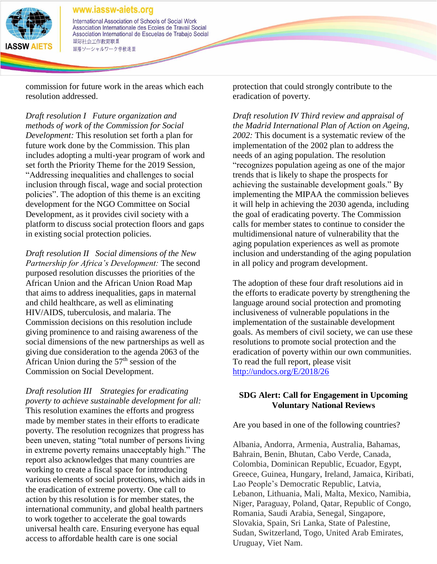

#### www.iassw-aiets.org International Association of Schools of Social Work Association Internationale des Ecoles de Travail Social Association International de Escuelas de Trabajo Social 国际社会工作教育联盟 国際ソーシャルワーク学校連盟

commission for future work in the areas which each resolution addressed.

*Draft resolution I Future organization and methods of work of the Commission for Social Development:* This resolution set forth a plan for future work done by the Commission. This plan includes adopting a multi-year program of work and set forth the Priority Theme for the 2019 Session, "Addressing inequalities and challenges to social inclusion through fiscal, wage and social protection policies". The adoption of this theme is an exciting development for the NGO Committee on Social Development, as it provides civil society with a platform to discuss social protection floors and gaps in existing social protection policies.

*Draft resolution II Social dimensions of the New Partnership for Africa's Development:* The second purposed resolution discusses the priorities of the African Union and the African Union Road Map that aims to address inequalities, gaps in maternal and child healthcare, as well as eliminating HIV/AIDS, tuberculosis, and malaria. The Commission decisions on this resolution include giving prominence to and raising awareness of the social dimensions of the new partnerships as well as giving due consideration to the agenda 2063 of the African Union during the  $57<sup>th</sup>$  session of the Commission on Social Development.

*Draft resolution III Strategies for eradicating poverty to achieve sustainable development for all:* This resolution examines the efforts and progress made by member states in their efforts to eradicate poverty. The resolution recognizes that progress has been uneven, stating "total number of persons living in extreme poverty remains unacceptably high." The report also acknowledges that many countries are working to create a fiscal space for introducing various elements of social protections, which aids in the eradication of extreme poverty. One call to action by this resolution is for member states, the international community, and global health partners to work together to accelerate the goal towards universal health care. Ensuring everyone has equal access to affordable health care is one social

protection that could strongly contribute to the eradication of poverty.

*Draft resolution IV Third review and appraisal of the Madrid International Plan of Action on Ageing, 2002:* This document is a systematic review of the implementation of the 2002 plan to address the needs of an aging population. The resolution "recognizes population ageing as one of the major trends that is likely to shape the prospects for achieving the sustainable development goals." By implementing the MIPAA the commission believes it will help in achieving the 2030 agenda, including the goal of eradicating poverty. The Commission calls for member states to continue to consider the multidimensional nature of vulnerability that the aging population experiences as well as promote inclusion and understanding of the aging population in all policy and program development.

The adoption of these four draft resolutions aid in the efforts to eradicate poverty by strengthening the language around social protection and promoting inclusiveness of vulnerable populations in the implementation of the sustainable development goals. As members of civil society, we can use these resolutions to promote social protection and the eradication of poverty within our own communities. To read the full report, please visit <http://undocs.org/E/2018/26>

# **SDG Alert: Call for Engagement in Upcoming Voluntary National Reviews**

Are you based in one of the following countries?

Albania, Andorra, Armenia, Australia, Bahamas, Bahrain, Benin, Bhutan, Cabo Verde, Canada, Colombia, Dominican Republic, Ecuador, Egypt, Greece, Guinea, Hungary, Ireland, Jamaica, Kiribati, Lao People's Democratic Republic, Latvia, Lebanon, Lithuania, Mali, Malta, Mexico, Namibia, Niger, Paraguay, Poland, Qatar, Republic of Congo, Romania, Saudi Arabia, Senegal, Singapore, Slovakia, Spain, Sri Lanka, State of Palestine, Sudan, Switzerland, Togo, United Arab Emirates, Uruguay, Viet Nam.